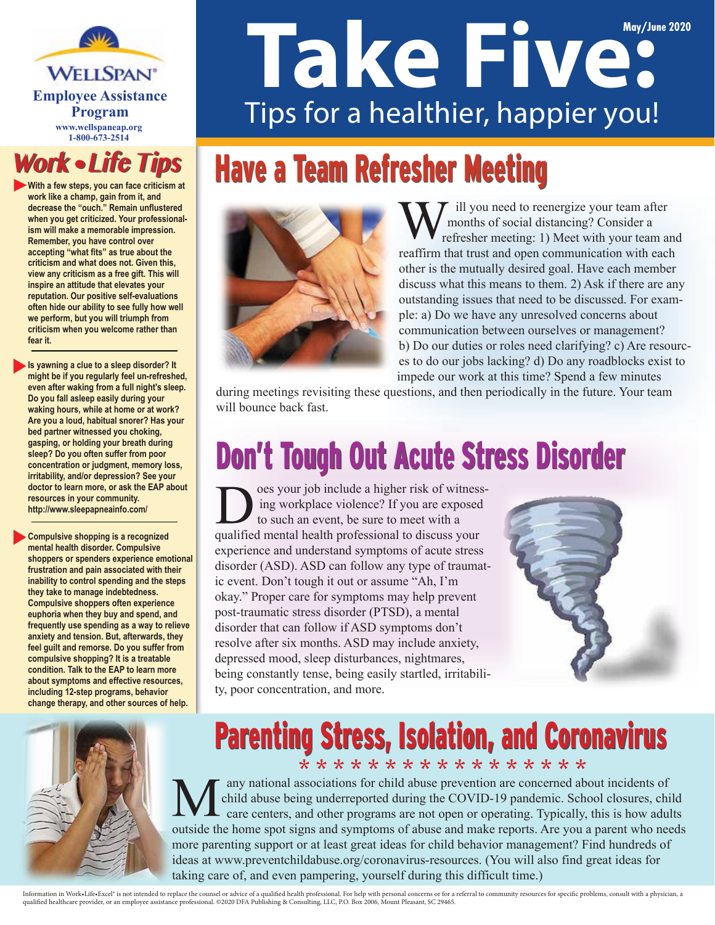**WELLSPAN**\* **Program www.wellspaneap.org 1-800-673-2514**

#### **Work • Life Tips**

**With a few steps, you can face criticism at work like a champ, gain from it, and decrease the "ouch." Remain unflustered when you get criticized. Your professionalism will make a memorable impression. Remember, you have control over accepting "what fits" as true about the criticism and what does not. Given this, view any criticism as a free gift. This will inspire an attitude that elevates your reputation. Our positive self-evaluations often hide our ability to see fully how well we perform, but you will triumph from criticism when you welcome rather than fear it.**

**Is yawning a clue to a sleep disorder? It might be if you regularly feel un-refreshed, even after waking from a full night's sleep. Do you fall asleep easily during your waking hours, while at home or at work? Are you a loud, habitual snorer? Has your bed partner witnessed you choking, gasping, or holding your breath during sleep? Do you often suffer from poor concentration or judgment, memory loss, irritability, and/or depression? See your doctor to learn more, or ask the EAP about resources in your community. http://www.sleepapneainfo.com/**

**Compulsive shopping is a recognized mental health disorder. Compulsive shoppers or spenders experience emotional frustration and pain associated with their inability to control spending and the steps they take to manage indebtedness. Compulsive shoppers often experience euphoria when they buy and spend, and frequently use spending as a way to relieve anxiety and tension. But, afterwards, they feel guilt and remorse. Do you suffer from compulsive shopping? It is a treatable condition. Talk to the EAP to learn more about symptoms and effective resources, including 12-step programs, behavior change therapy, and other sources of help.**

# **Take Five:** Employee Assistance<br>**Tips for a healthier, happier you!**

# Have a Team Refresher Meeting



ill you need to reenergize your team after months of social distancing? Consider a refresher meeting: 1) Meet with your team and reaffirm that trust and open communication with each other is the mutually desired goal. Have each member discuss what this means to them. 2) Ask if there are any outstanding issues that need to be discussed. For example: a) Do we have any unresolved concerns about communication between ourselves or management? b) Do our duties or roles need clarifying? c) Are resources to do our jobs lacking? d) Do any roadblocks exist to impede our work at this time? Spend a few minutes

during meetings revisiting these questions, and then periodically in the future. Your team will bounce back fast.

## **Don't Tough Out Acute Stress Disorder**

oes your job include a higher risk of witnessing workplace violence? If you are exposed to such an event, be sure to meet with a qualified mental health professional to discuss your experience and understand symptoms of acute stress disorder (ASD). ASD can follow any type of traumatic event. Don't tough it out or assume "Ah, I'm okay." Proper care for symptoms may help prevent post-traumatic stress disorder (PTSD), a mental disorder that can follow if ASD symptoms don't resolve after six months. ASD may include anxiety, depressed mood, sleep disturbances, nightmares, being constantly tense, being easily startled, irritability, poor concentration, and more.





#### Parenting Stress, Isolation, and Coronavirus Parenting Stress, Isolation, and Coronavirus

\* \* \* \* \* \* \* \* \* \* \* \* \* \* \* \* \*

any national associations for child abuse prevention are concerned about incidents of child abuse being underreported during the COVID-19 pandemic. School closures, child care centers, and other programs are not open or operating. Typically, this is how adults outside the home spot signs and symptoms of abuse and make reports. Are you a parent who needs more parenting support or at least great ideas for child behavior management? Find hundreds of ideas at www.preventchildabuse.org/coronavirus-resources. (You will also find great ideas for taking care of, and even pampering, yourself during this difficult time.)